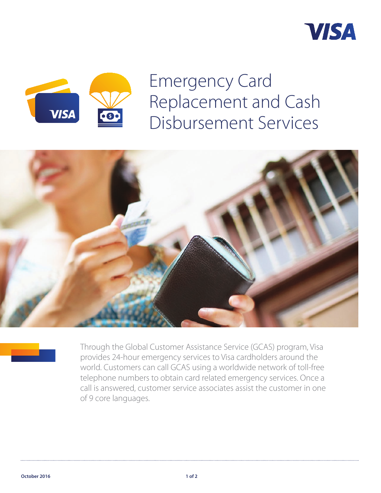



Emergency Card Replacement and Cash Disbursement Services





Through the Global Customer Assistance Service (GCAS) program, Visa provides 24-hour emergency services to Visa cardholders around the world. Customers can call GCAS using a worldwide network of toll-free telephone numbers to obtain card related emergency services. Once a call is answered, customer service associates assist the customer in one of 9 core languages.